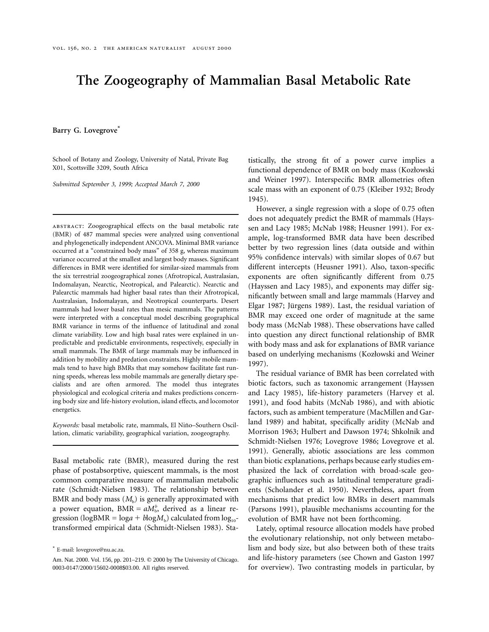# **The Zoogeography of Mammalian Basal Metabolic Rate**

**Barry G. Lovegrove\***

School of Botany and Zoology, University of Natal, Private Bag X01, Scottsville 3209, South Africa

*Submitted September 3, 1999; Accepted March 7, 2000*

abstract: Zoogeographical effects on the basal metabolic rate (BMR) of 487 mammal species were analyzed using conventional and phylogenetically independent ANCOVA. Minimal BMR variance occurred at a "constrained body mass" of 358 g, whereas maximum variance occurred at the smallest and largest body masses. Significant differences in BMR were identified for similar-sized mammals from the six terrestrial zoogeographical zones (Afrotropical, Australasian, Indomalayan, Nearctic, Neotropical, and Palearctic). Nearctic and Palearctic mammals had higher basal rates than their Afrotropical, Australasian, Indomalayan, and Neotropical counterparts. Desert mammals had lower basal rates than mesic mammals. The patterns were interpreted with a conceptual model describing geographical BMR variance in terms of the influence of latitudinal and zonal climate variability. Low and high basal rates were explained in unpredictable and predictable environments, respectively, especially in small mammals. The BMR of large mammals may be influenced in addition by mobility and predation constraints. Highly mobile mammals tend to have high BMRs that may somehow facilitate fast running speeds, whereas less mobile mammals are generally dietary specialists and are often armored. The model thus integrates physiological and ecological criteria and makes predictions concerning body size and life-history evolution, island effects, and locomotor energetics.

Keywords: basal metabolic rate, mammals, El Niño-Southern Oscillation, climatic variability, geographical variation, zoogeography.

Basal metabolic rate (BMR), measured during the rest phase of postabsorptive, quiescent mammals, is the most common comparative measure of mammalian metabolic rate (Schmidt-Nielsen 1983). The relationship between BMR and body mass  $(M_h)$  is generally approximated with a power equation,  $BMR = aM_b^b$ , derived as a linear regression ( $logBMR = loga + blogM_b$ ) calculated from  $log_{10}$ transformed empirical data (Schmidt-Nielsen 1983). Statistically, the strong fit of a power curve implies a functional dependence of BMR on body mass (Kozłowski and Weiner 1997). Interspecific BMR allometries often scale mass with an exponent of 0.75 (Kleiber 1932; Brody 1945).

However, a single regression with a slope of 0.75 often does not adequately predict the BMR of mammals (Hayssen and Lacy 1985; McNab 1988; Heusner 1991). For example, log-transformed BMR data have been described better by two regression lines (data outside and within 95% confidence intervals) with similar slopes of 0.67 but different intercepts (Heusner 1991). Also, taxon-specific exponents are often significantly different from 0.75 (Hayssen and Lacy 1985), and exponents may differ significantly between small and large mammals (Harvey and Elgar 1987; Jürgens 1989). Last, the residual variation of BMR may exceed one order of magnitude at the same body mass (McNab 1988). These observations have called into question any direct functional relationship of BMR with body mass and ask for explanations of BMR variance based on underlying mechanisms (Kozłowski and Weiner 1997).

The residual variance of BMR has been correlated with biotic factors, such as taxonomic arrangement (Hayssen and Lacy 1985), life-history parameters (Harvey et al. 1991), and food habits (McNab 1986), and with abiotic factors, such as ambient temperature (MacMillen and Garland 1989) and habitat, specifically aridity (McNab and Morrison 1963; Hulbert and Dawson 1974; Shkolnik and Schmidt-Nielsen 1976; Lovegrove 1986; Lovegrove et al. 1991). Generally, abiotic associations are less common than biotic explanations, perhaps because early studies emphasized the lack of correlation with broad-scale geographic influences such as latitudinal temperature gradients (Scholander et al. 1950). Nevertheless, apart from mechanisms that predict low BMRs in desert mammals (Parsons 1991), plausible mechanisms accounting for the evolution of BMR have not been forthcoming.

Lately, optimal resource allocation models have probed the evolutionary relationship, not only between metabolism and body size, but also between both of these traits and life-history parameters (see Chown and Gaston 1997 for overview). Two contrasting models in particular, by

<sup>\*</sup> E-mail: lovegrove@nu.ac.za.

Am. Nat. 2000. Vol. 156, pp. 201–219.  $\oslash$  2000 by The University of Chicago. 0003-0147/2000/15602-0008\$03.00. All rights reserved.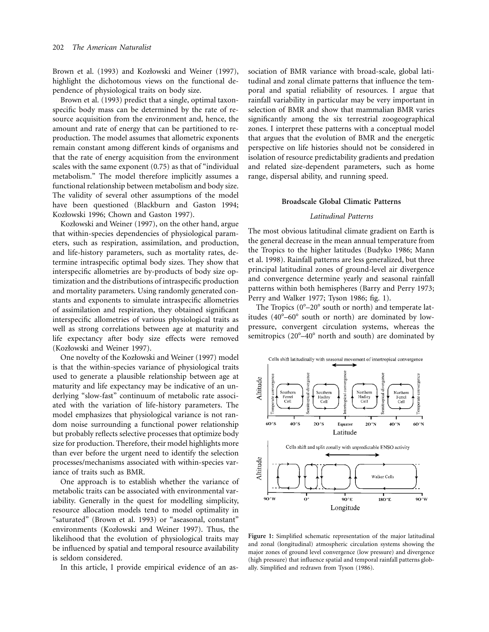Brown et al. (1993) and Kozłowski and Weiner (1997), highlight the dichotomous views on the functional dependence of physiological traits on body size.

Brown et al. (1993) predict that a single, optimal taxonspecific body mass can be determined by the rate of resource acquisition from the environment and, hence, the amount and rate of energy that can be partitioned to reproduction. The model assumes that allometric exponents remain constant among different kinds of organisms and that the rate of energy acquisition from the environment scales with the same exponent (0.75) as that of "individual metabolism." The model therefore implicitly assumes a functional relationship between metabolism and body size. The validity of several other assumptions of the model have been questioned (Blackburn and Gaston 1994; Kozłowski 1996; Chown and Gaston 1997).

Kozłowski and Weiner (1997), on the other hand, argue that within-species dependencies of physiological parameters, such as respiration, assimilation, and production, and life-history parameters, such as mortality rates, determine intraspecific optimal body sizes. They show that interspecific allometries are by-products of body size optimization and the distributions of intraspecific production and mortality parameters. Using randomly generated constants and exponents to simulate intraspecific allometries of assimilation and respiration, they obtained significant interspecific allometries of various physiological traits as well as strong correlations between age at maturity and life expectancy after body size effects were removed (Kozłowski and Weiner 1997).

One novelty of the Kozłowski and Weiner (1997) model is that the within-species variance of physiological traits used to generate a plausible relationship between age at maturity and life expectancy may be indicative of an underlying "slow-fast" continuum of metabolic rate associated with the variation of life-history parameters. The model emphasizes that physiological variance is not random noise surrounding a functional power relationship but probably reflects selective processes that optimize body size for production. Therefore, their model highlights more than ever before the urgent need to identify the selection processes/mechanisms associated with within-species variance of traits such as BMR.

One approach is to establish whether the variance of metabolic traits can be associated with environmental variability. Generally in the quest for modelling simplicity, resource allocation models tend to model optimality in "saturated" (Brown et al. 1993) or "aseasonal, constant" environments (Kozłowski and Weiner 1997). Thus, the likelihood that the evolution of physiological traits may be influenced by spatial and temporal resource availability is seldom considered.

In this article, I provide empirical evidence of an as-

sociation of BMR variance with broad-scale, global latitudinal and zonal climate patterns that influence the temporal and spatial reliability of resources. I argue that rainfall variability in particular may be very important in selection of BMR and show that mammalian BMR varies significantly among the six terrestrial zoogeographical zones. I interpret these patterns with a conceptual model that argues that the evolution of BMR and the energetic perspective on life histories should not be considered in isolation of resource predictability gradients and predation and related size-dependent parameters, such as home range, dispersal ability, and running speed.

## **Broadscale Global Climatic Patterns**

#### *Latitudinal Patterns*

The most obvious latitudinal climate gradient on Earth is the general decrease in the mean annual temperature from the Tropics to the higher latitudes (Budyko 1986; Mann et al. 1998). Rainfall patterns are less generalized, but three principal latitudinal zones of ground-level air divergence and convergence determine yearly and seasonal rainfall patterns within both hemispheres (Barry and Perry 1973; Perry and Walker 1977; Tyson 1986; fig. 1).

The Tropics  $(0^{\circ}-20^{\circ}$  south or north) and temperate latitudes  $(40^{\circ}-60^{\circ}$  south or north) are dominated by lowpressure, convergent circulation systems, whereas the semitropics  $(20^{\circ}-40^{\circ})$  north and south) are dominated by



**Figure 1:** Simplified schematic representation of the major latitudinal and zonal (longitudinal) atmospheric circulation systems showing the major zones of ground level convergence (low pressure) and divergence (high pressure) that influence spatial and temporal rainfall patterns globally. Simplified and redrawn from Tyson (1986).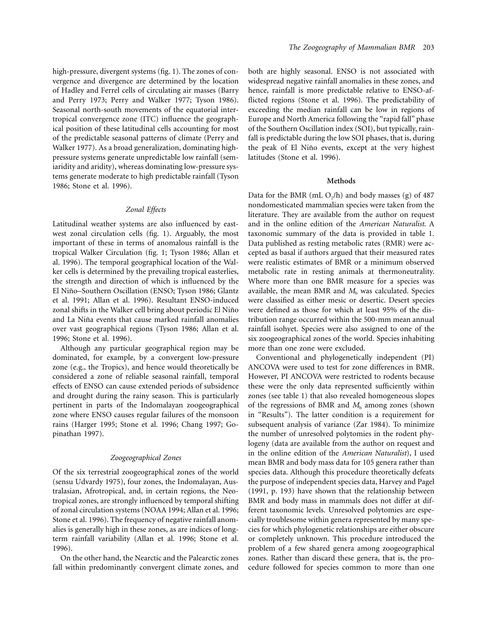high-pressure, divergent systems (fig. 1). The zones of convergence and divergence are determined by the location of Hadley and Ferrel cells of circulating air masses (Barry and Perry 1973; Perry and Walker 1977; Tyson 1986). Seasonal north-south movements of the equatorial intertropical convergence zone (ITC) influence the geographical position of these latitudinal cells accounting for most of the predictable seasonal patterns of climate (Perry and Walker 1977). As a broad generalization, dominating highpressure systems generate unpredictable low rainfall (semiaridity and aridity), whereas dominating low-pressure systems generate moderate to high predictable rainfall (Tyson 1986; Stone et al. 1996).

# *Zonal Effects*

Latitudinal weather systems are also influenced by eastwest zonal circulation cells (fig. 1). Arguably, the most important of these in terms of anomalous rainfall is the tropical Walker Circulation (fig. 1; Tyson 1986; Allan et al. 1996). The temporal geographical location of the Walker cells is determined by the prevailing tropical easterlies, the strength and direction of which is influenced by the El Niño-Southern Oscillation (ENSO; Tyson 1986; Glantz et al. 1991; Allan et al. 1996). Resultant ENSO-induced zonal shifts in the Walker cell bring about periodic El Niño and La Niña events that cause marked rainfall anomalies over vast geographical regions (Tyson 1986; Allan et al. 1996; Stone et al. 1996).

Although any particular geographical region may be dominated, for example, by a convergent low-pressure zone (e.g., the Tropics), and hence would theoretically be considered a zone of reliable seasonal rainfall, temporal effects of ENSO can cause extended periods of subsidence and drought during the rainy season. This is particularly pertinent in parts of the Indomalayan zoogeographical zone where ENSO causes regular failures of the monsoon rains (Harger 1995; Stone et al. 1996; Chang 1997; Gopinathan 1997).

## *Zoogeographical Zones*

Of the six terrestrial zoogeographical zones of the world (sensu Udvardy 1975), four zones, the Indomalayan, Australasian, Afrotropical, and, in certain regions, the Neotropical zones, are strongly influenced by temporal shifting of zonal circulation systems (NOAA 1994; Allan et al. 1996; Stone et al. 1996). The frequency of negative rainfall anomalies is generally high in these zones, as are indices of longterm rainfall variability (Allan et al. 1996; Stone et al. 1996).

On the other hand, the Nearctic and the Palearctic zones fall within predominantly convergent climate zones, and both are highly seasonal. ENSO is not associated with widespread negative rainfall anomalies in these zones, and hence, rainfall is more predictable relative to ENSO-afflicted regions (Stone et al. 1996). The predictability of exceeding the median rainfall can be low in regions of Europe and North America following the "rapid fall" phase of the Southern Oscillation index (SOI), but typically, rainfall is predictable during the low SOI phases, that is, during the peak of El Niño events, except at the very highest latitudes (Stone et al. 1996).

## **Methods**

Data for the BMR (mL  $O_2/h$ ) and body masses (g) of 487 nondomesticated mammalian species were taken from the literature. They are available from the author on request and in the online edition of the *American Naturalist*. A taxonomic summary of the data is provided in table 1. Data published as resting metabolic rates (RMR) were accepted as basal if authors argued that their measured rates were realistic estimates of BMR or a minimum observed metabolic rate in resting animals at thermoneutrality. Where more than one BMR measure for a species was available, the mean BMR and  $M<sub>b</sub>$  was calculated. Species were classified as either mesic or desertic. Desert species were defined as those for which at least 95% of the distribution range occurred within the 500-mm mean annual rainfall isohyet. Species were also assigned to one of the six zoogeographical zones of the world. Species inhabiting more than one zone were excluded.

Conventional and phylogenetically independent (PI) ANCOVA were used to test for zone differences in BMR. However, PI ANCOVA were restricted to rodents because these were the only data represented sufficiently within zones (see table 1) that also revealed homogeneous slopes of the regressions of BMR and  $M<sub>b</sub>$  among zones (shown in "Results"). The latter condition is a requirement for subsequent analysis of variance (Zar 1984). To minimize the number of unresolved polytomies in the rodent phylogeny (data are available from the author on request and in the online edition of the *American Naturalist*), I used mean BMR and body mass data for 105 genera rather than species data. Although this procedure theoretically defeats the purpose of independent species data, Harvey and Pagel (1991, p. 193) have shown that the relationship between BMR and body mass in mammals does not differ at different taxonomic levels. Unresolved polytomies are especially troublesome within genera represented by many species for which phylogenetic relationships are either obscure or completely unknown. This procedure introduced the problem of a few shared genera among zoogeographical zones. Rather than discard these genera, that is, the procedure followed for species common to more than one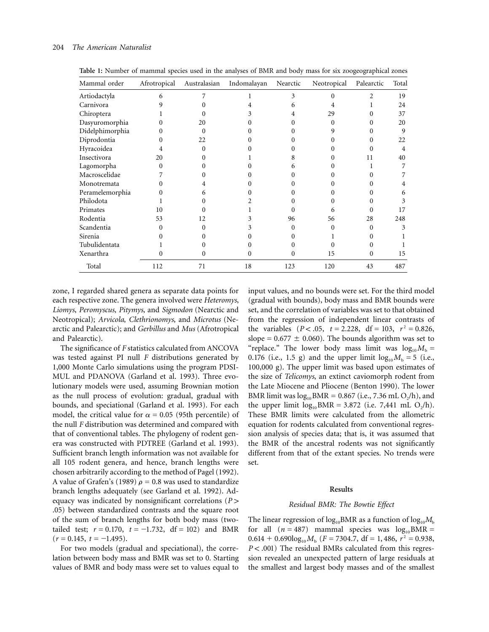| Mammal order    | Afrotropical | Australasian | Indomalayan | Nearctic | Neotropical | Palearctic     | Total |
|-----------------|--------------|--------------|-------------|----------|-------------|----------------|-------|
| Artiodactyla    | 6            |              |             | 3        | $\Omega$    | $\overline{2}$ | 19    |
| Carnivora       |              |              |             | h        |             |                | 24    |
| Chiroptera      |              |              |             |          | 29          |                | 37    |
| Dasyuromorphia  |              | 20           |             |          |             |                | 20    |
| Didelphimorphia |              | 0            |             |          |             |                | 9     |
| Diprodontia     |              | 22           |             |          |             |                | 22    |
| Hyracoidea      |              | 0            |             |          |             |                | 4     |
| Insectivora     | 20           |              |             |          |             | 11             | 40    |
| Lagomorpha      | 0            |              |             |          |             |                |       |
| Macroscelidae   |              |              |             |          |             |                |       |
| Monotremata     |              |              |             |          |             |                |       |
| Peramelemorphia |              |              |             |          |             |                | 6     |
| Philodota       |              |              |             |          |             |                |       |
| Primates        | 10           | 0            |             |          |             | $\Omega$       | 17    |
| Rodentia        | 53           | 12           |             | 96       | 56          | 28             | 248   |
| Scandentia      |              |              |             |          |             | 0              | 3     |
| Sirenia         |              |              |             |          |             | $\mathbf{0}$   |       |
| Tubulidentata   |              |              |             |          |             |                |       |
| Xenarthra       | 0            | 0            | $_{0}$      | 0        | 15          | $\Omega$       | 15    |
| Total           | 112          | 71           | 18          | 123      | 120         | 43             | 487   |

**Table 1:** Number of mammal species used in the analyses of BMR and body mass for six zoogeographical zones

zone, I regarded shared genera as separate data points for each respective zone. The genera involved were *Heteromys*, *Liomys*, *Peromyscus*, *Pitymys*, and *Sigmodon* (Nearctic and Neotropical); *Arvicola*, *Clethrionomys*, and *Microtus* (Nearctic and Palearctic); and *Gerbillus* and *Mus* (Afrotropical and Palearctic).

The significance of *F* statistics calculated from ANCOVA was tested against PI null *F* distributions generated by 1,000 Monte Carlo simulations using the program PDSI-MUL and PDANOVA (Garland et al. 1993). Three evolutionary models were used, assuming Brownian motion as the null process of evolution: gradual, gradual with bounds, and speciational (Garland et al. 1993). For each model, the critical value for  $\alpha = 0.05$  (95th percentile) of the null *F* distribution was determined and compared with that of conventional tables. The phylogeny of rodent genera was constructed with PDTREE (Garland et al. 1993). Sufficient branch length information was not available for all 105 rodent genera, and hence, branch lengths were chosen arbitrarily according to the method of Pagel (1992). A value of Grafen's (1989)  $\rho = 0.8$  was used to standardize branch lengths adequately (see Garland et al. 1992). Adequacy was indicated by nonsignificant correlations  $(P >$ .05) between standardized contrasts and the square root of the sum of branch lengths for both body mass (twotailed test;  $r = 0.170$ ,  $t = -1.732$ , df = 102) and BMR  $(r = 0.145, t = -1.495).$ 

For two models (gradual and speciational), the correlation between body mass and BMR was set to 0. Starting values of BMR and body mass were set to values equal to input values, and no bounds were set. For the third model (gradual with bounds), body mass and BMR bounds were set, and the correlation of variables was set to that obtained from the regression of independent linear contrasts of the variables  $(P < .05, t = 2.228, df = 103, r^2 = 0.826,$ slope =  $0.677 \pm 0.060$ . The bounds algorithm was set to "replace." The lower body mass limit was  $log_{10} M_b =$ 0.176 (i.e., 1.5 g) and the upper limit  $log_{10} M_h = 5$  (i.e., 100,000 g). The upper limit was based upon estimates of the size of *Telicomys*, an extinct caviomorph rodent from the Late Miocene and Pliocene (Benton 1990). The lower BMR limit was  $log_{10}$ BMR = 0.867 (i.e., 7.36 mL O<sub>2</sub>/h), and the upper limit  $log_{10} BMR = 3.872$  (i.e. 7,441 mL O<sub>2</sub>/h). These BMR limits were calculated from the allometric equation for rodents calculated from conventional regression analysis of species data; that is, it was assumed that the BMR of the ancestral rodents was not significantly different from that of the extant species. No trends were set.

# **Results**

# *Residual BMR: The Bowtie Effect*

The linear regression of  $log_{10}BMR$  as a function of  $log_{10}M_b$ for all  $(n = 487)$  mammal species was  $log_{10} BMR =$  $(0.614 + 0.690\log_{10} M_{\rm b}$  ( $F = 7304.7$ , df = 1, 486,  $r^2 = 0.938$ , *P* < .001) The residual BMRs calculated from this regression revealed an unexpected pattern of large residuals at the smallest and largest body masses and of the smallest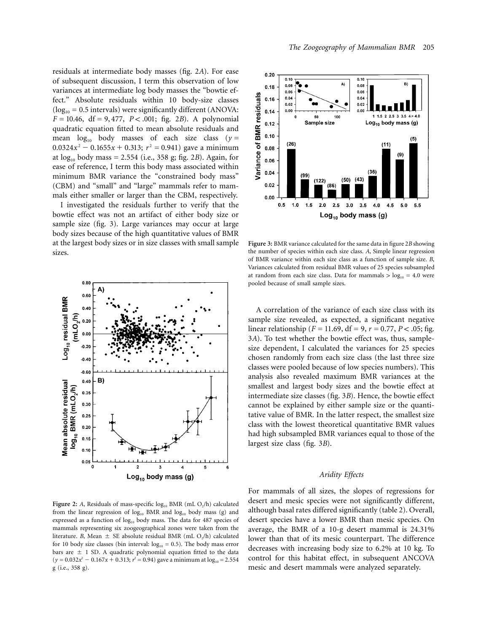residuals at intermediate body masses (fig. 2*A*). For ease of subsequent discussion, I term this observation of low variances at intermediate log body masses the "bowtie effect." Absolute residuals within 10 body-size classes  $(log_{10} = 0.5$  intervals) were significantly different (ANOVA:  $F = 10.46$ ,  $df = 9,477$ ,  $P < .001$ ; fig. 2B). A polynomial quadratic equation fitted to mean absolute residuals and mean  $\log_{10}$  body masses of each size class ( $y =$ 0.0324 $x^2$  – 0.1655 $x$  + 0.313;  $r^2$  = 0.941) gave a minimum at  $log_{10}$  body mass = 2.554 (i.e., 358 g; fig. 2*B*). Again, for ease of reference, I term this body mass associated within minimum BMR variance the "constrained body mass" (CBM) and "small" and "large" mammals refer to mammals either smaller or larger than the CBM, respectively.

I investigated the residuals further to verify that the bowtie effect was not an artifact of either body size or sample size (fig. 3). Large variances may occur at large body sizes because of the high quantitative values of BMR at the largest body sizes or in size classes with small sample sizes.



Figure 2: *A*, Residuals of mass-specific log<sub>10</sub> BMR (mL O<sub>2</sub>/h) calculated from the linear regression of  $log_{10}$  BMR and  $log_{10}$  body mass (g) and expressed as a function of  $log_{10}$  body mass. The data for 487 species of mammals representing six zoogeographical zones were taken from the literature. *B*, Mean  $\pm$  SE absolute residual BMR (mL O<sub>2</sub>/h) calculated for 10 body size classes (bin interval:  $log_{10} = 0.5$ ). The body mass error bars are  $\pm$  1 SD. A quadratic polynomial equation fitted to the data  $(y = 0.032x^2 - 0.167x + 0.313; r^2 = 0.94)$  gave a minimum at  $log_{10} = 2.554$ g (i.e., 358 g).



**Figure 3:** BMR variance calculated for the same data in figure 2*B* showing the number of species within each size class. *A*, Simple linear regression of BMR variance within each size class as a function of sample size. *B*, Variances calculated from residual BMR values of 25 species subsampled at random from each size class. Data for mammals  $> log_{10} = 4.0$  were pooled because of small sample sizes.

A correlation of the variance of each size class with its sample size revealed, as expected, a significant negative linear relationship ( $F = 11.69$ , df = 9,  $r = 0.77$ ,  $P < .05$ ; fig. 3*A*). To test whether the bowtie effect was, thus, samplesize dependent, I calculated the variances for 25 species chosen randomly from each size class (the last three size classes were pooled because of low species numbers). This analysis also revealed maximum BMR variances at the smallest and largest body sizes and the bowtie effect at intermediate size classes (fig. 3*B*). Hence, the bowtie effect cannot be explained by either sample size or the quantitative value of BMR. In the latter respect, the smallest size class with the lowest theoretical quantitative BMR values had high subsampled BMR variances equal to those of the largest size class (fig. 3*B*).

# *Aridity Effects*

For mammals of all sizes, the slopes of regressions for desert and mesic species were not significantly different, although basal rates differed significantly (table 2). Overall, desert species have a lower BMR than mesic species. On average, the BMR of a 10-g desert mammal is 24.31% lower than that of its mesic counterpart. The difference decreases with increasing body size to 6.2% at 10 kg. To control for this habitat effect, in subsequent ANCOVA mesic and desert mammals were analyzed separately.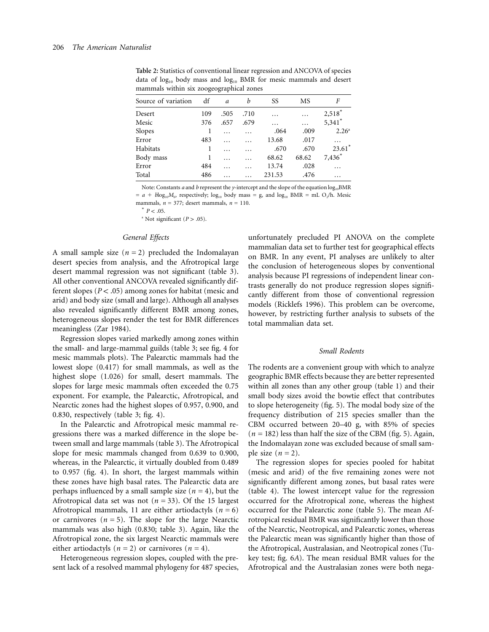**Table 2:** Statistics of conventional linear regression and ANCOVA of species data of  $log_{10}$  body mass and  $log_{10}$  BMR for mesic mammals and desert mammals within six zoogeographical zones

| Source of variation | df  | a    | b    | SS       | MS    | F                    |
|---------------------|-----|------|------|----------|-------|----------------------|
| Desert              | 109 | .505 | .710 | .        |       | $2,518^*$            |
| Mesic               | 376 | .657 | .679 | $\cdots$ | .     | $5,341$ <sup>*</sup> |
| Slopes              |     |      |      | .064     | .009  | $2.26^{\circ}$       |
| Error               | 483 |      |      | 13.68    | .017  | .                    |
| Habitats            | 1   |      | .    | .670     | .670  | $23.61$ <sup>*</sup> |
| Body mass           |     |      |      | 68.62    | 68.62 | $7,436*$             |
| Error               | 484 |      |      | 13.74    | .028  | .                    |
| Total               | 486 |      |      | 231.53   | .476  | .                    |

Note: Constants  $a$  and  $b$  represent the  $y$ -intercept and the slope of the equation  $\log_{10}$ BMR  $a = a + b\log_{10}M_{\rm b}$ , respectively;  $\log_{10}$  body mass = g, and  $\log_{10}$  BMR = mL O<sub>2</sub>/h. Mesic mammals, *n* = 377; desert mammals, *n* = 110.

 $*$   $P < .05$ .

<sup>a</sup> Not significant ( $P > .05$ ).

#### *General Effects*

A small sample size  $(n = 2)$  precluded the Indomalayan desert species from analysis, and the Afrotropical large desert mammal regression was not significant (table 3). All other conventional ANCOVA revealed significantly different slopes ( $P < .05$ ) among zones for habitat (mesic and arid) and body size (small and large). Although all analyses also revealed significantly different BMR among zones, heterogeneous slopes render the test for BMR differences meaningless (Zar 1984).

Regression slopes varied markedly among zones within the small- and large-mammal guilds (table 3; see fig. 4 for mesic mammals plots). The Palearctic mammals had the lowest slope (0.417) for small mammals, as well as the highest slope (1.026) for small, desert mammals. The slopes for large mesic mammals often exceeded the 0.75 exponent. For example, the Palearctic, Afrotropical, and Nearctic zones had the highest slopes of 0.957, 0.900, and 0.830, respectively (table 3; fig. 4).

In the Palearctic and Afrotropical mesic mammal regressions there was a marked difference in the slope between small and large mammals (table 3). The Afrotropical slope for mesic mammals changed from 0.639 to 0.900, whereas, in the Palearctic, it virtually doubled from 0.489 to 0.957 (fig. 4). In short, the largest mammals within these zones have high basal rates. The Palearctic data are perhaps influenced by a small sample size  $(n = 4)$ , but the Afrotropical data set was not ( $n = 33$ ). Of the 15 largest Afrotropical mammals, 11 are either artiodactyls  $(n = 6)$ or carnivores  $(n = 5)$ . The slope for the large Nearctic mammals was also high (0.830; table 3). Again, like the Afrotropical zone, the six largest Nearctic mammals were either artiodactyls ( $n = 2$ ) or carnivores ( $n = 4$ ).

Heterogeneous regression slopes, coupled with the present lack of a resolved mammal phylogeny for 487 species,

unfortunately precluded PI ANOVA on the complete mammalian data set to further test for geographical effects on BMR. In any event, PI analyses are unlikely to alter the conclusion of heterogeneous slopes by conventional analysis because PI regressions of independent linear contrasts generally do not produce regression slopes significantly different from those of conventional regression models (Ricklefs 1996). This problem can be overcome, however, by restricting further analysis to subsets of the total mammalian data set.

## *Small Rodents*

The rodents are a convenient group with which to analyze geographic BMR effects because they are better represented within all zones than any other group (table 1) and their small body sizes avoid the bowtie effect that contributes to slope heterogeneity (fig. 5). The modal body size of the frequency distribution of 215 species smaller than the CBM occurred between 20–40 g, with 85% of species  $(n = 182)$  less than half the size of the CBM (fig. 5). Again, the Indomalayan zone was excluded because of small sample size  $(n = 2)$ .

The regression slopes for species pooled for habitat (mesic and arid) of the five remaining zones were not significantly different among zones, but basal rates were (table 4). The lowest intercept value for the regression occurred for the Afrotropical zone, whereas the highest occurred for the Palearctic zone (table 5). The mean Afrotropical residual BMR was significantly lower than those of the Nearctic, Neotropical, and Palearctic zones, whereas the Palearctic mean was significantly higher than those of the Afrotropical, Australasian, and Neotropical zones (Tukey test; fig. 6*A*). The mean residual BMR values for the Afrotropical and the Australasian zones were both nega-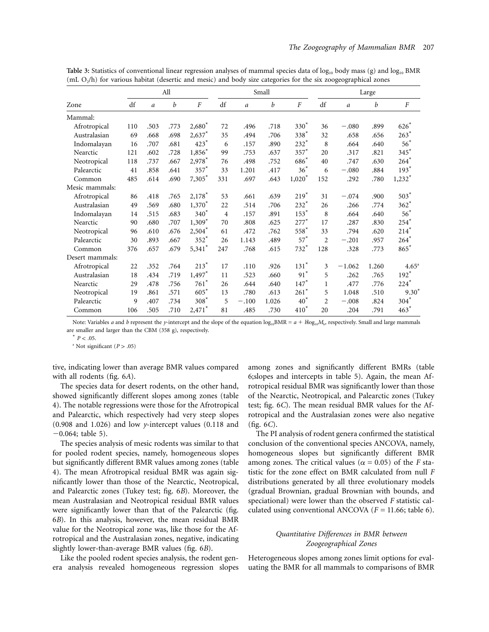|                 |     |      | All  |                      |                | Small   |       |                  |                | Large    |       |                      |  |
|-----------------|-----|------|------|----------------------|----------------|---------|-------|------------------|----------------|----------|-------|----------------------|--|
| Zone            | df  | a    | b    | F                    | df             | a       | b     | $\boldsymbol{F}$ | df             | a        | b     | $\boldsymbol{F}$     |  |
| Mammal:         |     |      |      |                      |                |         |       |                  |                |          |       |                      |  |
| Afrotropical    | 110 | .503 | .773 | $2,680*$             | 72             | .496    | .718  | $330^*$          | 36             | $-.080$  | .899  | $626^*$              |  |
| Australasian    | 69  | .668 | .698 | $2,637$ *            | 35             | .494    | .706  | $338^*$          | 32             | .658     | .656  | $263*$               |  |
| Indomalayan     | 16  | .707 | .681 | $423*$               | 6              | .157    | .890  | $232^*$          | 8              | .664     | .640  | $56^*$               |  |
| Nearctic        | 121 | .602 | .728 | $1,856*$             | 99             | .753    | .637  | $357^*$          | 20             | .317     | .821  | $345*$               |  |
| Neotropical     | 118 | .737 | .667 | $2,978$ <sup>*</sup> | 76             | .498    | .752  | 686 <sup>*</sup> | 40             | .747     | .630  | $264$ <sup>*</sup>   |  |
| Palearctic      | 41  | .858 | .641 | $357^*$              | 33             | 1.201   | .417  | $36*$            | 6              | $-.080$  | .884  | $193*$               |  |
| Common          | 485 | .614 | .690 | $7,305*$             | 331            | .697    | .643  | $1,020*$         | 152            | .292     | .780  | $1,232$ <sup>*</sup> |  |
| Mesic mammals:  |     |      |      |                      |                |         |       |                  |                |          |       |                      |  |
| Afrotropical    | 86  | .418 | .765 | $2,178$ <sup>*</sup> | 53             | .661    | .639  | $219*$           | 31             | $-.074$  | .900  | $503*$               |  |
| Australasian    | 49  | .569 | .680 | $1,370^*$            | 22             | .514    | .706  | $232^*$          | 26             | .266     | .774  | $362^*$              |  |
| Indomalayan     | 14  | .515 | .683 | $340^*$              | $\overline{4}$ | .157    | .891  | $153*$           | 8              | .664     | .640  | $56^*$               |  |
| Nearctic        | 90  | .680 | .707 | $1,309$ <sup>*</sup> | 70             | .808    | .625  | $277^*$          | 17             | .287     | .830  | $254$ <sup>*</sup>   |  |
| Neotropical     | 96  | .610 | .676 | $2,504*$             | 61             | .472    | .762  | $558*$           | 33             | .794     | .620  | $214*$               |  |
| Palearctic      | 30  | .893 | .667 | $352^*$              | 26             | 1.143   | .489  | $57^*$           | $\overline{2}$ | $-.201$  | .957  | $264$ <sup>*</sup>   |  |
| Common          | 376 | .657 | .679 | $5,341*$             | 247            | .768    | .615  | $732*$           | 128            | .328     | .773  | $865*$               |  |
| Desert mammals: |     |      |      |                      |                |         |       |                  |                |          |       |                      |  |
| Afrotropical    | 22  | .352 | .764 | $213*$               | 17             | .110    | .926  | $131*$           | 3              | $-1.062$ | 1.260 | $4.65^{\circ}$       |  |
| Australasian    | 18  | .434 | .719 | $1,497$ *            | 11             | .523    | .660  | $91*$            | 5              | .262     | .765  | $192*$               |  |
| Nearctic        | 29  | .478 | .756 | $761*$               | 26             | .644    | .640  | $147*$           | 1              | .477     | .776  | $224*$               |  |
| Neotropical     | 19  | .861 | .571 | $605*$               | 13             | .780    | .613  | $261^*$          | 5              | 1.048    | .510  | $9.30*$              |  |
| Palearctic      | 9   | .407 | .734 | $308*$               | 5              | $-.100$ | 1.026 | $40^*$           | $\overline{c}$ | $-.008$  | .824  | $304^*$              |  |
| Common          | 106 | .505 | .710 | $2,471$ <sup>*</sup> | 81             | .485    | .730  | $410^*$          | 20             | .204     | .791  | $463*$               |  |

**Table 3:** Statistics of conventional linear regression analyses of mammal species data of  $log_{10}$  body mass (g) and  $log_{10}$  BMR (mL  $O_2/h$ ) for various habitat (desertic and mesic) and body size categories for the six zoogeographical zones

Note: Variables *a* and *b* represent the *y*-intercept and the slope of the equation  $\log_{10}BMR = a + b\log_{10}M_b$ , respectively. Small and large mammals are smaller and larger than the CBM (358 g), respectively.

 $*$   $P < .05$ .

<sup>a</sup> Not significant  $(P > .05)$ 

tive, indicating lower than average BMR values compared with all rodents (fig. 6*A*).

The species data for desert rodents, on the other hand, showed significantly different slopes among zones (table 4). The notable regressions were those for the Afrotropical and Palearctic, which respectively had very steep slopes (0.908 and 1.026) and low *y*-intercept values (0.118 and  $-0.064$ ; table 5).

The species analysis of mesic rodents was similar to that for pooled rodent species, namely, homogeneous slopes but significantly different BMR values among zones (table 4). The mean Afrotropical residual BMR was again significantly lower than those of the Nearctic, Neotropical, and Palearctic zones (Tukey test; fig. 6*B*). Moreover, the mean Australasian and Neotropical residual BMR values were significantly lower than that of the Palearctic (fig. 6*B*). In this analysis, however, the mean residual BMR value for the Neotropical zone was, like those for the Afrotropical and the Australasian zones, negative, indicating slightly lower-than-average BMR values (fig. 6*B*).

Like the pooled rodent species analysis, the rodent genera analysis revealed homogeneous regression slopes among zones and significantly different BMRs (table 6;slopes and intercepts in table 5). Again, the mean Afrotropical residual BMR was significantly lower than those of the Nearctic, Neotropical, and Palearctic zones (Tukey test; fig. 6*C*). The mean residual BMR values for the Afrotropical and the Australasian zones were also negative (fig. 6*C*).

The PI analysis of rodent genera confirmed the statistical conclusion of the conventional species ANCOVA, namely, homogeneous slopes but significantly different BMR among zones. The critical values ( $\alpha = 0.05$ ) of the *F* statistic for the zone effect on BMR calculated from null *F* distributions generated by all three evolutionary models (gradual Brownian, gradual Brownian with bounds, and speciational) were lower than the observed *F* statistic calculated using conventional ANCOVA ( $F = 11.66$ ; table 6).

# *Quantitative Differences in BMR between Zoogeographical Zones*

Heterogeneous slopes among zones limit options for evaluating the BMR for all mammals to comparisons of BMR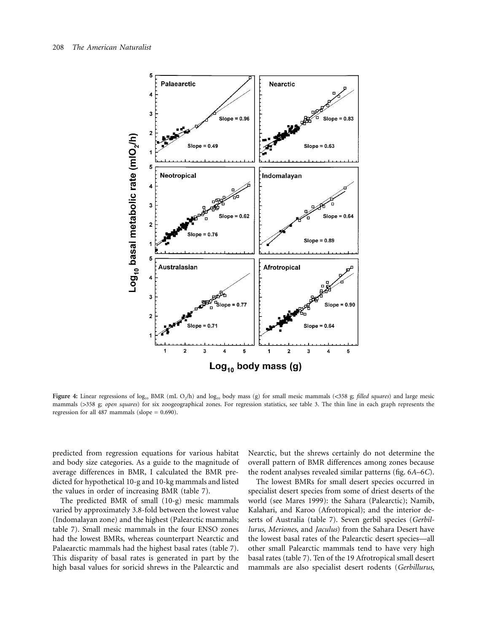

**Figure 4:** Linear regressions of  $log_{10}$  BMR (mL O<sub>2</sub>/h) and  $log_{10}$  body mass (g) for small mesic mammals (<358 g; *filled squares*) and large mesic mammals (>358 g; *open squares*) for six zoogeographical zones. For regression statistics, see table 3. The thin line in each graph represents the regression for all 487 mammals (slope = 0.690).

predicted from regression equations for various habitat and body size categories. As a guide to the magnitude of average differences in BMR, I calculated the BMR predicted for hypothetical 10-g and 10-kg mammals and listed the values in order of increasing BMR (table 7).

The predicted BMR of small (10-g) mesic mammals varied by approximately 3.8-fold between the lowest value (Indomalayan zone) and the highest (Palearctic mammals; table 7). Small mesic mammals in the four ENSO zones had the lowest BMRs, whereas counterpart Nearctic and Palaearctic mammals had the highest basal rates (table 7). This disparity of basal rates is generated in part by the high basal values for soricid shrews in the Palearctic and Nearctic, but the shrews certainly do not determine the overall pattern of BMR differences among zones because the rodent analyses revealed similar patterns (fig. 6*A*–6*C*).

The lowest BMRs for small desert species occurred in specialist desert species from some of driest deserts of the world (see Mares 1999): the Sahara (Palearctic); Namib, Kalahari, and Karoo (Afrotropical); and the interior deserts of Australia (table 7). Seven gerbil species (*Gerbillurus*, *Meriones*, and *Jaculus*) from the Sahara Desert have the lowest basal rates of the Palearctic desert species—all other small Palearctic mammals tend to have very high basal rates (table 7). Ten of the 19 Afrotropical small desert mammals are also specialist desert rodents (*Gerbillurus*,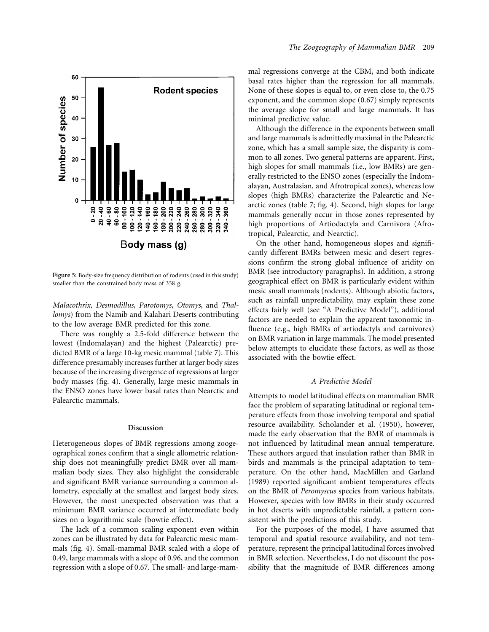

**Figure 5:** Body-size frequency distribution of rodents (used in this study) smaller than the constrained body mass of 358 g.

*Malacothrix*, *Desmodillus*, *Parotomys*, *Otomys*, and *Thallomys*) from the Namib and Kalahari Deserts contributing to the low average BMR predicted for this zone.

There was roughly a 2.5-fold difference between the lowest (Indomalayan) and the highest (Palearctic) predicted BMR of a large 10-kg mesic mammal (table 7). This difference presumably increases further at larger body sizes because of the increasing divergence of regressions at larger body masses (fig. 4). Generally, large mesic mammals in the ENSO zones have lower basal rates than Nearctic and Palearctic mammals.

#### **Discussion**

Heterogeneous slopes of BMR regressions among zoogeographical zones confirm that a single allometric relationship does not meaningfully predict BMR over all mammalian body sizes. They also highlight the considerable and significant BMR variance surrounding a common allometry, especially at the smallest and largest body sizes. However, the most unexpected observation was that a minimum BMR variance occurred at intermediate body sizes on a logarithmic scale (bowtie effect).

The lack of a common scaling exponent even within zones can be illustrated by data for Palearctic mesic mammals (fig. 4). Small-mammal BMR scaled with a slope of 0.49, large mammals with a slope of 0.96, and the common regression with a slope of 0.67. The small- and large-mammal regressions converge at the CBM, and both indicate basal rates higher than the regression for all mammals. None of these slopes is equal to, or even close to, the 0.75 exponent, and the common slope (0.67) simply represents the average slope for small and large mammals. It has minimal predictive value.

Although the difference in the exponents between small and large mammals is admittedly maximal in the Palearctic zone, which has a small sample size, the disparity is common to all zones. Two general patterns are apparent. First, high slopes for small mammals (i.e., low BMRs) are generally restricted to the ENSO zones (especially the Indomalayan, Australasian, and Afrotropical zones), whereas low slopes (high BMRs) characterize the Palearctic and Nearctic zones (table 7; fig. 4). Second, high slopes for large mammals generally occur in those zones represented by high proportions of Artiodactyla and Carnivora (Afrotropical, Palearctic, and Nearctic).

On the other hand, homogeneous slopes and significantly different BMRs between mesic and desert regressions confirm the strong global influence of aridity on BMR (see introductory paragraphs). In addition, a strong geographical effect on BMR is particularly evident within mesic small mammals (rodents). Although abiotic factors, such as rainfall unpredictability, may explain these zone effects fairly well (see "A Predictive Model"), additional factors are needed to explain the apparent taxonomic influence (e.g., high BMRs of artiodactyls and carnivores) on BMR variation in large mammals. The model presented below attempts to elucidate these factors, as well as those associated with the bowtie effect.

# *A Predictive Model*

Attempts to model latitudinal effects on mammalian BMR face the problem of separating latitudinal or regional temperature effects from those involving temporal and spatial resource availability. Scholander et al. (1950), however, made the early observation that the BMR of mammals is not influenced by latitudinal mean annual temperature. These authors argued that insulation rather than BMR in birds and mammals is the principal adaptation to temperature. On the other hand, MacMillen and Garland (1989) reported significant ambient temperatures effects on the BMR of *Peromyscus* species from various habitats. However, species with low BMRs in their study occurred in hot deserts with unpredictable rainfall, a pattern consistent with the predictions of this study.

For the purposes of the model, I have assumed that temporal and spatial resource availability, and not temperature, represent the principal latitudinal forces involved in BMR selection. Nevertheless, I do not discount the possibility that the magnitude of BMR differences among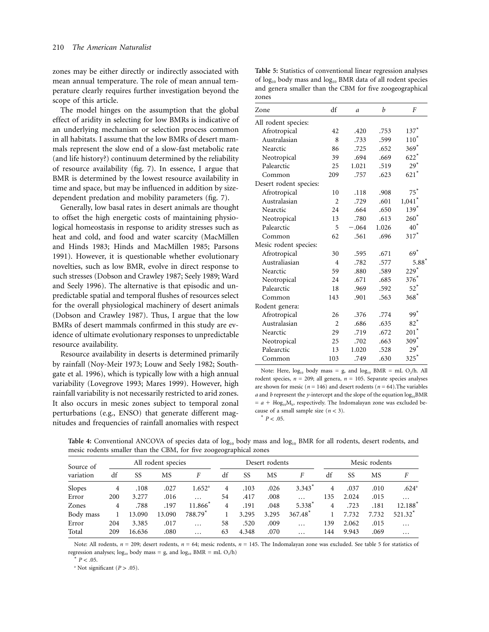zones may be either directly or indirectly associated with mean annual temperature. The role of mean annual temperature clearly requires further investigation beyond the scope of this article.

The model hinges on the assumption that the global effect of aridity in selecting for low BMRs is indicative of an underlying mechanism or selection process common in all habitats. I assume that the low BMRs of desert mammals represent the slow end of a slow-fast metabolic rate (and life history?) continuum determined by the reliability of resource availability (fig. 7). In essence, I argue that BMR is determined by the lowest resource availability in time and space, but may be influenced in addition by sizedependent predation and mobility parameters (fig. 7).

Generally, low basal rates in desert animals are thought to offset the high energetic costs of maintaining physiological homeostasis in response to aridity stresses such as heat and cold, and food and water scarcity (MacMillen and Hinds 1983; Hinds and MacMillen 1985; Parsons 1991). However, it is questionable whether evolutionary novelties, such as low BMR, evolve in direct response to such stresses (Dobson and Crawley 1987; Seely 1989; Ward and Seely 1996). The alternative is that episodic and unpredictable spatial and temporal flushes of resources select for the overall physiological machinery of desert animals (Dobson and Crawley 1987). Thus, I argue that the low BMRs of desert mammals confirmed in this study are evidence of ultimate evolutionary responses to unpredictable resource availability.

Resource availability in deserts is determined primarily by rainfall (Noy-Meir 1973; Louw and Seely 1982; Southgate et al. 1996), which is typically low with a high annual variability (Lovegrove 1993; Mares 1999). However, high rainfall variability is not necessarily restricted to arid zones. It also occurs in mesic zones subject to temporal zonal perturbations (e.g., ENSO) that generate different magnitudes and frequencies of rainfall anomalies with respect

| Table 5: Statistics of conventional linear regression analyses          |
|-------------------------------------------------------------------------|
| of $\log_{10}$ body mass and $\log_{10}$ BMR data of all rodent species |
| and genera smaller than the CBM for five zoogeographical                |
| zones                                                                   |

| Zone                   | df             | a       | b     | F                  |
|------------------------|----------------|---------|-------|--------------------|
| All rodent species:    |                |         |       |                    |
| Afrotropical           | 42             | .420    | .753  | $137^*$            |
| Australasian           | 8              | .733    | .599  | $110^*$            |
| Nearctic               | 86             | .725    | .652  | $369*$             |
| Neotropical            | 39             | .694    | .669  | $622*$             |
| Palearctic             | 25             | 1.021   | .519  | $29*$              |
| Common                 | 209            | .757    | .623  | $621$ <sup>*</sup> |
| Desert rodent species: |                |         |       |                    |
| Afrotropical           | 10             | .118    | .908  | $75^*$             |
| Australasian           | $\overline{2}$ | .729    | .601  | $1,041*$           |
| Nearctic               | 2.4            | .664    | .650  | $139*$             |
| Neotropical            | 13             | .780    | .613  | $260^*$            |
| Palearctic             | 5              | $-.064$ | 1.026 | $40^*$             |
| Common                 | 62             | .561    | .696  | $317$ <sup>*</sup> |
| Mesic rodent species:  |                |         |       |                    |
| Afrotropical           | 30             | .595    | .671  | $69*$              |
| Australiasian          | $\overline{4}$ | .782    | .577  | $5.88*$            |
| Nearctic               | 59             | .880    | .589  | $229^{\ast}$       |
| Neotropical            | 2.4            | .671    | .685  | $376^*$            |
| Palearctic             | 18             | .969    | .592  | $52^*$             |
| Common                 | 143            | .901    | .563  | $368*$             |
| Rodent genera:         |                |         |       |                    |
| Afrotropical           | 26             | .376    | .774  | $99*$              |
| Australasian           | $\mathfrak{D}$ | .686    | .635  | $82^*$             |
| Nearctic               | 29             | .719    | .672  | $201*$             |
| Neotropical            | 25             | .702    | .663  | $309*$             |
| Palearctic             | 13             | 1.020   | .528  | $29*$              |
| Common                 | 103            | .749    | .630  | $325^*$            |

Note: Here,  $log_{10}$  body mass = g, and  $log_{10}$  BMR = mL O<sub>2</sub>/h. All rodent species,  $n = 209$ ; all genera,  $n = 105$ . Separate species analyses are shown for mesic ( $n = 146$ ) and desert rodents ( $n = 64$ ). The variables *a* and *b* represent the *y*-intercept and the slope of the equation  $log_{10}BMR$  $= a + b \log_{10} M_{b}$ , respectively. The Indomalayan zone was excluded because of a small sample size  $(n < 3)$ .

 $^\star$   $P<$  .05.

Table 4: Conventional ANCOVA of species data of log<sub>10</sub> body mass and log<sub>10</sub> BMR for all rodents, desert rodents, and mesic rodents smaller than the CBM, for five zoogeographical zones

| All rodent species<br>Source of |     |        |        |                     |    |       | Desert rodents |                     | Mesic rodents |       |       |                       |
|---------------------------------|-----|--------|--------|---------------------|----|-------|----------------|---------------------|---------------|-------|-------|-----------------------|
| variation                       | df  | SS     | MS     | F                   | df | SS    | MS             | F                   | df            | SS    | MS    | F                     |
| Slopes                          | 4   | .108   | .027   | $1.652^{\circ}$     | 4  | .103  | .026           | $3.343*$            | 4             | .037  | .010  | $.624^{\circ}$        |
| Error                           | 200 | 3.277  | .016   | $\cdots$            | 54 | .417  | .008           | $\cdot \cdot \cdot$ | 135           | 2.024 | .015  | $\cdots$              |
| Zones                           | 4   | .788   | .197   | 11.866 <sup>*</sup> | 4  | .191  | .048           | $5.338^*$           | 4             | .723  | .181  | $12.188*$             |
| Body mass                       |     | 13.090 | 13.090 | 788.79 <sup>*</sup> |    | 3.295 | 3.295          | 367.48 <sup>*</sup> |               | 7.732 | 7.732 | $521.32$ <sup>*</sup> |
| Error                           | 204 | 3.385  | .017   | $\cdots$            | 58 | .520  | .009           | $\ddotsc$           | 139           | 2.062 | .015  | $\cdots$              |
| Total                           | 209 | 16.636 | .080   | $\cdots$            | 63 | 4.348 | .070           | $\cdots$            | 144           | 9.943 | .069  | $\cdot\cdot\cdot$     |

Note: All rodents,  $n = 209$ ; desert rodents,  $n = 64$ ; mesic rodents,  $n = 145$ . The Indomalayan zone was excluded. See table 5 for statistics of regression analyses;  $log_{10}$  body mass = g, and  $log_{10}$  BMR = mL O<sub>2</sub>/h)

 $P < .05$ .

<sup>a</sup> Not significant ( $P > .05$ ).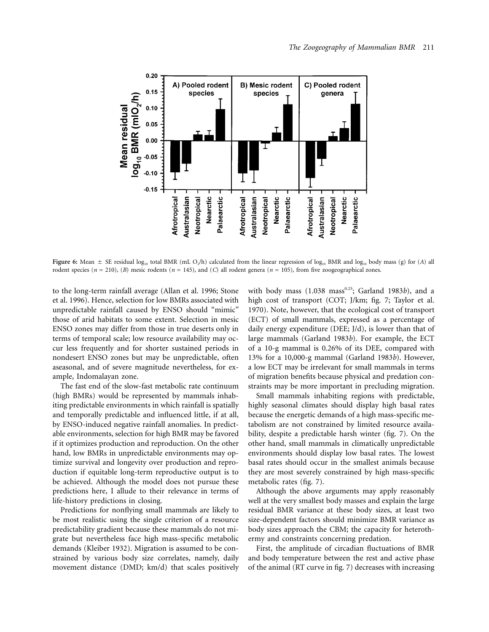

**Figure 6:** Mean  $\pm$  SE residual log<sub>10</sub> total BMR (mL O<sub>2</sub>/h) calculated from the linear regression of log<sub>10</sub> BMR and log<sub>10</sub> body mass (g) for (*A*) all rodent species ( $n = 210$ ), (*B*) mesic rodents ( $n = 145$ ), and (*C*) all rodent genera ( $n = 105$ ), from five zoogeographical zones.

to the long-term rainfall average (Allan et al. 1996; Stone et al. 1996). Hence, selection for low BMRs associated with unpredictable rainfall caused by ENSO should "mimic" those of arid habitats to some extent. Selection in mesic ENSO zones may differ from those in true deserts only in terms of temporal scale; low resource availability may occur less frequently and for shorter sustained periods in nondesert ENSO zones but may be unpredictable, often aseasonal, and of severe magnitude nevertheless, for example, Indomalayan zone.

The fast end of the slow-fast metabolic rate continuum (high BMRs) would be represented by mammals inhabiting predictable environments in which rainfall is spatially and temporally predictable and influenced little, if at all, by ENSO-induced negative rainfall anomalies. In predictable environments, selection for high BMR may be favored if it optimizes production and reproduction. On the other hand, low BMRs in unpredictable environments may optimize survival and longevity over production and reproduction if equitable long-term reproductive output is to be achieved. Although the model does not pursue these predictions here, I allude to their relevance in terms of life-history predictions in closing.

Predictions for nonflying small mammals are likely to be most realistic using the single criterion of a resource predictability gradient because these mammals do not migrate but nevertheless face high mass-specific metabolic demands (Kleiber 1932). Migration is assumed to be constrained by various body size correlates, namely, daily movement distance (DMD; km/d) that scales positively

with body mass  $(1.038 \text{ mass}^{0.25})$ ; Garland 1983b), and a high cost of transport (COT; J/km; fig. 7; Taylor et al. 1970). Note, however, that the ecological cost of transport (ECT) of small mammals, expressed as a percentage of daily energy expenditure (DEE; J/d), is lower than that of large mammals (Garland 1983*b*). For example, the ECT of a 10-g mammal is 0.26% of its DEE, compared with 13% for a 10,000-g mammal (Garland 1983*b*). However, a low ECT may be irrelevant for small mammals in terms of migration benefits because physical and predation constraints may be more important in precluding migration.

Small mammals inhabiting regions with predictable, highly seasonal climates should display high basal rates because the energetic demands of a high mass-specific metabolism are not constrained by limited resource availability, despite a predictable harsh winter (fig. 7). On the other hand, small mammals in climatically unpredictable environments should display low basal rates. The lowest basal rates should occur in the smallest animals because they are most severely constrained by high mass-specific metabolic rates (fig. 7).

Although the above arguments may apply reasonably well at the very smallest body masses and explain the large residual BMR variance at these body sizes, at least two size-dependent factors should minimize BMR variance as body sizes approach the CBM; the capacity for heterothermy and constraints concerning predation.

First, the amplitude of circadian fluctuations of BMR and body temperature between the rest and active phase of the animal (RT curve in fig. 7) decreases with increasing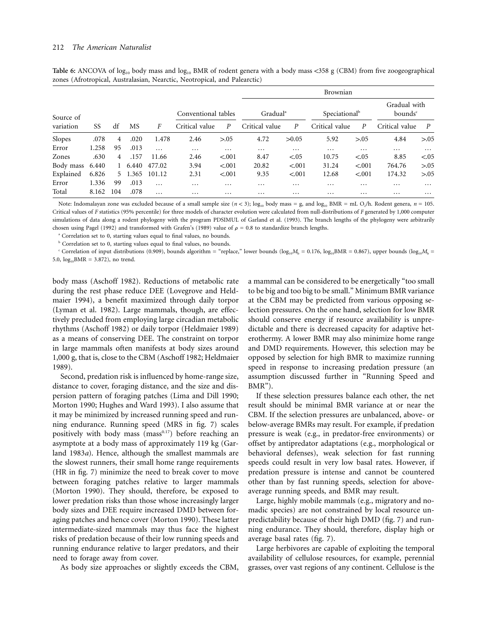|           |           |              |         |          |                     |                  | Brownian             |          |                |                  |                                     |                  |  |
|-----------|-----------|--------------|---------|----------|---------------------|------------------|----------------------|----------|----------------|------------------|-------------------------------------|------------------|--|
| Source of |           |              |         |          | Conventional tables |                  | Gradual <sup>a</sup> |          |                |                  | Gradual with<br>bounds <sup>c</sup> |                  |  |
| variation | <b>SS</b> | df           | MS      | F        | Critical value      | $\boldsymbol{P}$ | Critical value       | P        | Critical value | $\boldsymbol{P}$ | Critical value                      | $\boldsymbol{P}$ |  |
| Slopes    | .078      | 4            | .020    | 1.478    | 2.46                | >0.05            | 4.72                 | >0.05    | 5.92           | >0.05            | 4.84                                | >0.05            |  |
| Error     | 1.258     | 95           | .013    | $\cdots$ | $\cdots$            | $\cdots$         | $\cdots$             | $\cdots$ | $\cdots$       | $\cdots$         | $\cdots$                            | $\cdots$         |  |
| Zones     | .630      | 4            | .157    | 11.66    | 2.46                | < .001           | 8.47                 | < 0.05   | 10.75          | < 0.05           | 8.85                                | < 0.05           |  |
| Body mass | 6.440     | $\mathbf{1}$ | 6.440   | 477.02   | 3.94                | < .001           | 20.82                | < 0.001  | 31.24          | < 0.01           | 764.76                              | >0.05            |  |
| Explained | 6.826     |              | 5 1.365 | 101.12   | 2.31                | < .001           | 9.35                 | < 0.001  | 12.68          | < 0.01           | 174.32                              | >0.05            |  |
| Error     | 1.336     | 99           | .013    | $\cdots$ | $\cdots$            | $\cdots$         | $\cdots$             | $\cdots$ | $\cdots$       | $\cdots$         | $\cdots$                            | $\cdots$         |  |
| Total     | 8.162     | 104          | .078    | $\cdots$ | $\cdots$            | $\cdots$         | $\cdots$             | $\cdots$ | $\cdots$       | $\cdots$         | $\cdots$                            | $\cdots$         |  |

Table 6: ANCOVA of log<sub>10</sub> body mass and log<sub>10</sub> BMR of rodent genera with a body mass <358 g (CBM) from five zoogeographical zones (Afrotropical, Australasian, Nearctic, Neotropical, and Palearctic)

Note: Indomalayan zone was excluded because of a small sample size  $(n < 3)$ ; log<sub>10</sub> body mass = g, and log<sub>10</sub> BMR = mL O<sub>2</sub>/h. Rodent genera,  $n = 105$ . Critical values of *F* statistics (95% percentile) for three models of character evolution were calculated from null-distributions of *F* generated by 1,000 computer simulations of data along a rodent phylogeny with the program PDSIMUL of Garland et al. (1993). The branch lengths of the phylogeny were arbitrarily chosen using Pagel (1992) and transformed with Grafen's (1989) value of  $\rho = 0.8$  to standardize branch lengths.

<sup>a</sup> Correlation set to 0, starting values equal to final values, no bounds.

<sup>b</sup> Correlation set to 0, starting values equal to final values, no bounds.

<sup>c</sup> Correlation of input distributions (0.909), bounds algorithm = "replace," lower bounds ( $log_{10}M_b = 0.176$ ,  $log_{10}BMR = 0.867$ ), upper bounds ( $log_{10}M_b =$ 5.0,  $log_{10}BMR = 3.872$ ), no trend.

body mass (Aschoff 1982). Reductions of metabolic rate during the rest phase reduce DEE (Lovegrove and Heldmaier 1994), a benefit maximized through daily torpor (Lyman et al. 1982). Large mammals, though, are effectively precluded from employing large circadian metabolic rhythms (Aschoff 1982) or daily torpor (Heldmaier 1989) as a means of conserving DEE. The constraint on torpor in large mammals often manifests at body sizes around 1,000 g, that is, close to the CBM (Aschoff 1982; Heldmaier 1989).

Second, predation risk is influenced by home-range size, distance to cover, foraging distance, and the size and dispersion pattern of foraging patches (Lima and Dill 1990; Morton 1990; Hughes and Ward 1993). I also assume that it may be minimized by increased running speed and running endurance. Running speed (MRS in fig. 7) scales positively with body mass  $(mass^{0.17})$  before reaching an asymptote at a body mass of approximately 119 kg (Garland 1983*a*). Hence, although the smallest mammals are the slowest runners, their small home range requirements (HR in fig. 7) minimize the need to break cover to move between foraging patches relative to larger mammals (Morton 1990). They should, therefore, be exposed to lower predation risks than those whose increasingly larger body sizes and DEE require increased DMD between foraging patches and hence cover (Morton 1990). These latter intermediate-sized mammals may thus face the highest risks of predation because of their low running speeds and running endurance relative to larger predators, and their need to forage away from cover.

As body size approaches or slightly exceeds the CBM,

a mammal can be considered to be energetically "too small to be big and too big to be small." Minimum BMR variance at the CBM may be predicted from various opposing selection pressures. On the one hand, selection for low BMR should conserve energy if resource availability is unpredictable and there is decreased capacity for adaptive heterothermy. A lower BMR may also minimize home range and DMD requirements. However, this selection may be opposed by selection for high BMR to maximize running speed in response to increasing predation pressure (an assumption discussed further in "Running Speed and BMR").

If these selection pressures balance each other, the net result should be minimal BMR variance at or near the CBM. If the selection pressures are unbalanced, above- or below-average BMRs may result. For example, if predation pressure is weak (e.g., in predator-free environments) or offset by antipredator adaptations (e.g., morphological or behavioral defenses), weak selection for fast running speeds could result in very low basal rates. However, if predation pressure is intense and cannot be countered other than by fast running speeds, selection for aboveaverage running speeds, and BMR may result.

Large, highly mobile mammals (e.g., migratory and nomadic species) are not constrained by local resource unpredictability because of their high DMD (fig. 7) and running endurance. They should, therefore, display high or average basal rates (fig. 7).

Large herbivores are capable of exploiting the temporal availability of cellulose resources, for example, perennial grasses, over vast regions of any continent. Cellulose is the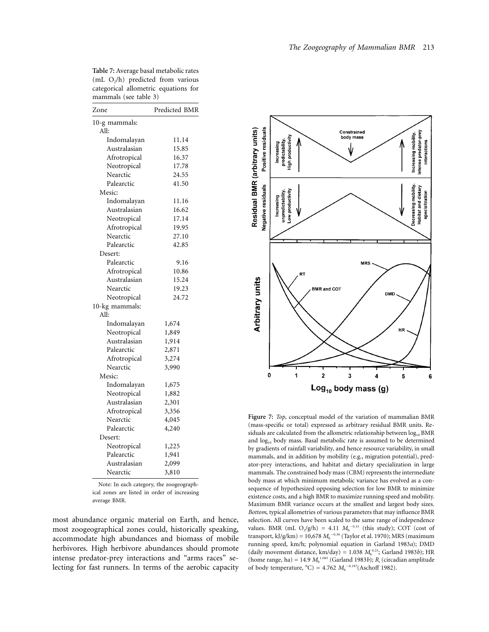| Zone           | Predicted BMR |
|----------------|---------------|
| 10-g mammals:  |               |
| All:           |               |
| Indomalayan    | 11.14         |
| Australasian   | 15.85         |
| Afrotropical   | 16.37         |
| Neotropical    | 17.78         |
| Nearctic       | 24.55         |
| Palearctic     | 41.50         |
| Mesic:         |               |
| Indomalayan    | 11.16         |
| Australasian   | 16.62         |
| Neotropical    | 17.14         |
| Afrotropical   | 19.95         |
| Nearctic       | 27.10         |
| Palearctic     | 42.85         |
| Desert:        |               |
| Palearctic     | 9.16          |
| Afrotropical   | 10.86         |
| Australasian   | 15.24         |
| Nearctic       | 19.23         |
| Neotropical    | 24.72         |
| 10-kg mammals: |               |
| All:           |               |
| Indomalayan    | 1,674         |
| Neotropical    | 1,849         |
| Australasian   | 1,914         |
| Palearctic     | 2,871         |
| Afrotropical   | 3,274         |
| Nearctic       | 3,990         |
| Mesic:         |               |
| Indomalayan    | 1,675         |
| Neotropical    | 1,882         |
| Australasian   | 2,301         |
| Afrotropical   | 3,356         |
| Nearctic       | 4,045         |
| Palearctic     | 4,240         |
| Desert:        |               |
| Neotropical    | 1,225         |
| Palearctic     | 1,941         |
| Australasian   | 2,099         |
| Nearctic       | 3,810         |

**Table 7:** Average basal metabolic rates (mL  $O_2/h$ ) predicted from various categorical allometric equations for mammals (see table 3)

Note: In each category, the zoogeographical zones are listed in order of increasing average BMR.

most abundance organic material on Earth, and hence, most zoogeographical zones could, historically speaking, accommodate high abundances and biomass of mobile herbivores. High herbivore abundances should promote intense predator-prey interactions and "arms races" selecting for fast runners. In terms of the aerobic capacity



**Figure 7:** *Top*, conceptual model of the variation of mammalian BMR (mass-specific or total) expressed as arbitrary residual BMR units. Residuals are calculated from the allometric relationship between  $log_{10}$  BMR and  $log_{10}$  body mass. Basal metabolic rate is assumed to be determined by gradients of rainfall variability, and hence resource variability, in small mammals, and in addition by mobility (e.g., migration potential), predator-prey interactions, and habitat and dietary specialization in large mammals. The constrained body mass (CBM) represents the intermediate body mass at which minimum metabolic variance has evolved as a consequence of hypothesized opposing selection for low BMR to minimize existence costs, and a high BMR to maximize running speed and mobility. Maximum BMR variance occurs at the smallest and largest body sizes. *Bottom*, typical allometries of various parameters that may influence BMR selection. All curves have been scaled to the same range of independence values. BMR (mL  $O_2/g/h$ ) = 4.11  $M_b^{-0.31}$  (this study); COT (cost of transport, kJ/g/km) =  $10,678 M_b^{-0.30}$  (Taylor et al. 1970); MRS (maximum running speed, km/h; polynomial equation in Garland 1983*a*); DMD (daily movement distance, km/day) =  $1.038$   $M_b^{0.25}$ ; Garland 1983*b*); HR (home range, ha) = 14.9  $M<sub>b</sub><sup>1.083</sup>$  (Garland 1983*b*);  $R<sub>t</sub>$  (circadian amplitude of body temperature,  $^{\circ}$ C) = 4.762  $M_{b}^{-0.197}$ (Aschoff 1982).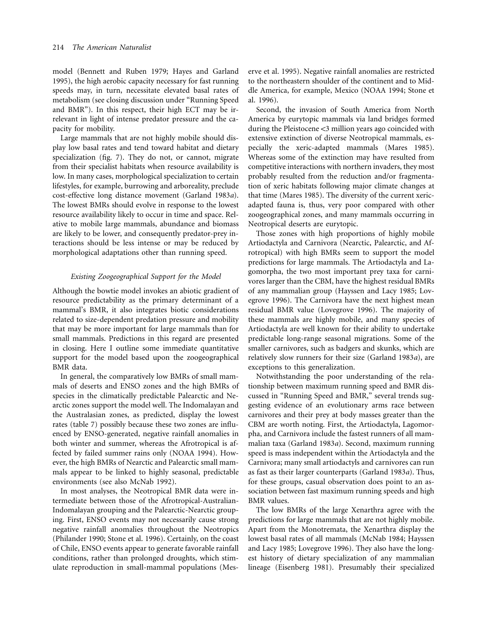model (Bennett and Ruben 1979; Hayes and Garland 1995), the high aerobic capacity necessary for fast running speeds may, in turn, necessitate elevated basal rates of metabolism (see closing discussion under "Running Speed and BMR"). In this respect, their high ECT may be irrelevant in light of intense predator pressure and the capacity for mobility.

Large mammals that are not highly mobile should display low basal rates and tend toward habitat and dietary specialization (fig. 7). They do not, or cannot, migrate from their specialist habitats when resource availability is low. In many cases, morphological specialization to certain lifestyles, for example, burrowing and arboreality, preclude cost-effective long distance movement (Garland 1983*a*). The lowest BMRs should evolve in response to the lowest resource availability likely to occur in time and space. Relative to mobile large mammals, abundance and biomass are likely to be lower, and consequently predator-prey interactions should be less intense or may be reduced by morphological adaptations other than running speed.

# *Existing Zoogeographical Support for the Model*

Although the bowtie model invokes an abiotic gradient of resource predictability as the primary determinant of a mammal's BMR, it also integrates biotic considerations related to size-dependent predation pressure and mobility that may be more important for large mammals than for small mammals. Predictions in this regard are presented in closing. Here I outline some immediate quantitative support for the model based upon the zoogeographical BMR data.

In general, the comparatively low BMRs of small mammals of deserts and ENSO zones and the high BMRs of species in the climatically predictable Palearctic and Nearctic zones support the model well. The Indomalayan and the Australasian zones, as predicted, display the lowest rates (table 7) possibly because these two zones are influenced by ENSO-generated, negative rainfall anomalies in both winter and summer, whereas the Afrotropical is affected by failed summer rains only (NOAA 1994). However, the high BMRs of Nearctic and Palearctic small mammals appear to be linked to highly seasonal, predictable environments (see also McNab 1992).

In most analyses, the Neotropical BMR data were intermediate between those of the Afrotropical-Australian-Indomalayan grouping and the Palearctic-Nearctic grouping. First, ENSO events may not necessarily cause strong negative rainfall anomalies throughout the Neotropics (Philander 1990; Stone et al. 1996). Certainly, on the coast of Chile, ENSO events appear to generate favorable rainfall conditions, rather than prolonged droughts, which stimulate reproduction in small-mammal populations (Meserve et al. 1995). Negative rainfall anomalies are restricted to the northeastern shoulder of the continent and to Middle America, for example, Mexico (NOAA 1994; Stone et al. 1996).

Second, the invasion of South America from North America by eurytopic mammals via land bridges formed during the Pleistocene  $\leq$ 3 million years ago coincided with extensive extinction of diverse Neotropical mammals, especially the xeric-adapted mammals (Mares 1985). Whereas some of the extinction may have resulted from competitive interactions with northern invaders, they most probably resulted from the reduction and/or fragmentation of xeric habitats following major climate changes at that time (Mares 1985). The diversity of the current xericadapted fauna is, thus, very poor compared with other zoogeographical zones, and many mammals occurring in Neotropical deserts are eurytopic.

Those zones with high proportions of highly mobile Artiodactyla and Carnivora (Nearctic, Palearctic, and Afrotropical) with high BMRs seem to support the model predictions for large mammals. The Artiodactyla and Lagomorpha, the two most important prey taxa for carnivores larger than the CBM, have the highest residual BMRs of any mammalian group (Hayssen and Lacy 1985; Lovegrove 1996). The Carnivora have the next highest mean residual BMR value (Lovegrove 1996). The majority of these mammals are highly mobile, and many species of Artiodactyla are well known for their ability to undertake predictable long-range seasonal migrations. Some of the smaller carnivores, such as badgers and skunks, which are relatively slow runners for their size (Garland 1983*a*), are exceptions to this generalization.

Notwithstanding the poor understanding of the relationship between maximum running speed and BMR discussed in "Running Speed and BMR," several trends suggesting evidence of an evolutionary arms race between carnivores and their prey at body masses greater than the CBM are worth noting. First, the Artiodactyla, Lagomorpha, and Carnivora include the fastest runners of all mammalian taxa (Garland 1983*a*). Second, maximum running speed is mass independent within the Artiodactyla and the Carnivora; many small artiodactyls and carnivores can run as fast as their larger counterparts (Garland 1983*a*). Thus, for these groups, casual observation does point to an association between fast maximum running speeds and high BMR values.

The low BMRs of the large Xenarthra agree with the predictions for large mammals that are not highly mobile. Apart from the Monotremata, the Xenarthra display the lowest basal rates of all mammals (McNab 1984; Hayssen and Lacy 1985; Lovegrove 1996). They also have the longest history of dietary specialization of any mammalian lineage (Eisenberg 1981). Presumably their specialized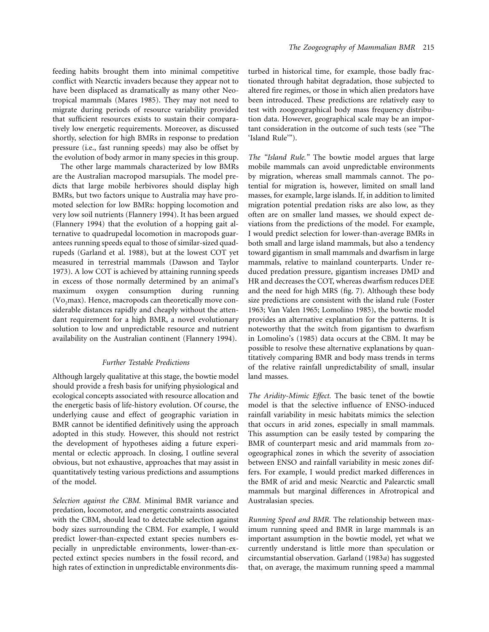feeding habits brought them into minimal competitive conflict with Nearctic invaders because they appear not to have been displaced as dramatically as many other Neotropical mammals (Mares 1985). They may not need to migrate during periods of resource variability provided that sufficient resources exists to sustain their comparatively low energetic requirements. Moreover, as discussed shortly, selection for high BMRs in response to predation pressure (i.e., fast running speeds) may also be offset by the evolution of body armor in many species in this group.

The other large mammals characterized by low BMRs are the Australian macropod marsupials. The model predicts that large mobile herbivores should display high BMRs, but two factors unique to Australia may have promoted selection for low BMRs: hopping locomotion and very low soil nutrients (Flannery 1994). It has been argued (Flannery 1994) that the evolution of a hopping gait alternative to quadrupedal locomotion in macropods guarantees running speeds equal to those of similar-sized quadrupeds (Garland et al. 1988), but at the lowest COT yet measured in terrestrial mammals (Dawson and Taylor 1973). A low COT is achieved by attaining running speeds in excess of those normally determined by an animal's maximum oxygen consumption during running ( $Vo<sub>2</sub>max$ ). Hence, macropods can theoretically move considerable distances rapidly and cheaply without the attendant requirement for a high BMR, a novel evolutionary solution to low and unpredictable resource and nutrient availability on the Australian continent (Flannery 1994).

## *Further Testable Predictions*

Although largely qualitative at this stage, the bowtie model should provide a fresh basis for unifying physiological and ecological concepts associated with resource allocation and the energetic basis of life-history evolution. Of course, the underlying cause and effect of geographic variation in BMR cannot be identified definitively using the approach adopted in this study. However, this should not restrict the development of hypotheses aiding a future experimental or eclectic approach. In closing, I outline several obvious, but not exhaustive, approaches that may assist in quantitatively testing various predictions and assumptions of the model.

*Selection against the CBM.* Minimal BMR variance and predation, locomotor, and energetic constraints associated with the CBM, should lead to detectable selection against body sizes surrounding the CBM. For example, I would predict lower-than-expected extant species numbers especially in unpredictable environments, lower-than-expected extinct species numbers in the fossil record, and high rates of extinction in unpredictable environments disturbed in historical time, for example, those badly fractionated through habitat degradation, those subjected to altered fire regimes, or those in which alien predators have been introduced. These predictions are relatively easy to test with zoogeographical body mass frequency distribution data. However, geographical scale may be an important consideration in the outcome of such tests (see "The 'Island Rule'").

*The "Island Rule."* The bowtie model argues that large mobile mammals can avoid unpredictable environments by migration, whereas small mammals cannot. The potential for migration is, however, limited on small land masses, for example, large islands. If, in addition to limited migration potential predation risks are also low, as they often are on smaller land masses, we should expect deviations from the predictions of the model. For example, I would predict selection for lower-than-average BMRs in both small and large island mammals, but also a tendency toward gigantism in small mammals and dwarfism in large mammals, relative to mainland counterparts. Under reduced predation pressure, gigantism increases DMD and HR and decreases the COT, whereas dwarfism reduces DEE and the need for high MRS (fig. 7). Although these body size predictions are consistent with the island rule (Foster 1963; Van Valen 1965; Lomolino 1985), the bowtie model provides an alternative explanation for the patterns. It is noteworthy that the switch from gigantism to dwarfism in Lomolino's (1985) data occurs at the CBM. It may be possible to resolve these alternative explanations by quantitatively comparing BMR and body mass trends in terms of the relative rainfall unpredictability of small, insular land masses.

*The Aridity-Mimic Effect.* The basic tenet of the bowtie model is that the selective influence of ENSO-induced rainfall variability in mesic habitats mimics the selection that occurs in arid zones, especially in small mammals. This assumption can be easily tested by comparing the BMR of counterpart mesic and arid mammals from zoogeographical zones in which the severity of association between ENSO and rainfall variability in mesic zones differs. For example, I would predict marked differences in the BMR of arid and mesic Nearctic and Palearctic small mammals but marginal differences in Afrotropical and Australasian species.

*Running Speed and BMR.* The relationship between maximum running speed and BMR in large mammals is an important assumption in the bowtie model, yet what we currently understand is little more than speculation or circumstantial observation. Garland (1983*a*) has suggested that, on average, the maximum running speed a mammal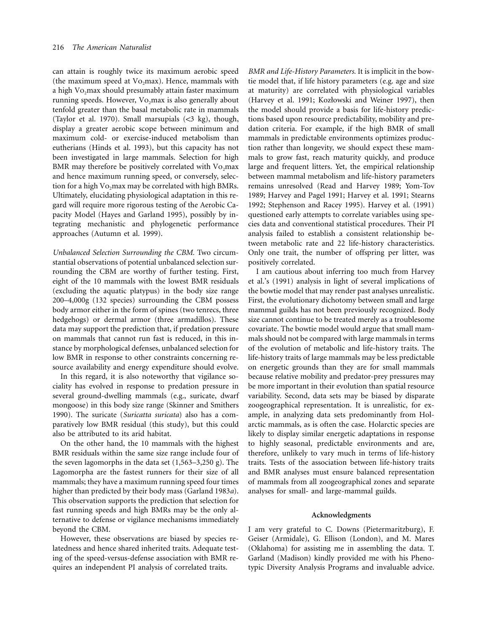can attain is roughly twice its maximum aerobic speed (the maximum speed at  $Vo<sub>2</sub>$ max). Hence, mammals with a high Vo<sub>2</sub>max should presumably attain faster maximum running speeds. However, Vo<sub>2</sub>max is also generally about tenfold greater than the basal metabolic rate in mammals (Taylor et al. 1970). Small marsupials  $( $3 \text{ kg}$ ), though,$ display a greater aerobic scope between minimum and maximum cold- or exercise-induced metabolism than eutherians (Hinds et al. 1993), but this capacity has not been investigated in large mammals. Selection for high BMR may therefore be positively correlated with  $Vo<sub>2</sub>$ max and hence maximum running speed, or conversely, selection for a high  $Vo_2$ max may be correlated with high BMRs. Ultimately, elucidating physiological adaptation in this regard will require more rigorous testing of the Aerobic Capacity Model (Hayes and Garland 1995), possibly by integrating mechanistic and phylogenetic performance approaches (Autumn et al. 1999).

*Unbalanced Selection Surrounding the CBM.* Two circumstantial observations of potential unbalanced selection surrounding the CBM are worthy of further testing. First, eight of the 10 mammals with the lowest BMR residuals (excluding the aquatic platypus) in the body size range 200–4,000g (132 species) surrounding the CBM possess body armor either in the form of spines (two tenrecs, three hedgehogs) or dermal armor (three armadillos). These data may support the prediction that, if predation pressure on mammals that cannot run fast is reduced, in this instance by morphological defenses, unbalanced selection for low BMR in response to other constraints concerning resource availability and energy expenditure should evolve.

In this regard, it is also noteworthy that vigilance sociality has evolved in response to predation pressure in several ground-dwelling mammals (e.g., suricate, dwarf mongoose) in this body size range (Skinner and Smithers 1990). The suricate (*Suricatta suricata*) also has a comparatively low BMR residual (this study), but this could also be attributed to its arid habitat.

On the other hand, the 10 mammals with the highest BMR residuals within the same size range include four of the seven lagomorphs in the data set (1,563–3,250 g). The Lagomorpha are the fastest runners for their size of all mammals; they have a maximum running speed four times higher than predicted by their body mass (Garland 1983*a*). This observation supports the prediction that selection for fast running speeds and high BMRs may be the only alternative to defense or vigilance mechanisms immediately beyond the CBM.

However, these observations are biased by species relatedness and hence shared inherited traits. Adequate testing of the speed-versus-defense association with BMR requires an independent PI analysis of correlated traits.

*BMR and Life-History Parameters.* It is implicit in the bowtie model that, if life history parameters (e.g. age and size at maturity) are correlated with physiological variables (Harvey et al. 1991; Kozłowski and Weiner 1997), then the model should provide a basis for life-history predictions based upon resource predictability, mobility and predation criteria. For example, if the high BMR of small mammals in predictable environments optimizes production rather than longevity, we should expect these mammals to grow fast, reach maturity quickly, and produce large and frequent litters. Yet, the empirical relationship between mammal metabolism and life-history parameters remains unresolved (Read and Harvey 1989; Yom-Tov 1989; Harvey and Pagel 1991; Harvey et al. 1991; Stearns 1992; Stephenson and Racey 1995). Harvey et al. (1991) questioned early attempts to correlate variables using species data and conventional statistical procedures. Their PI analysis failed to establish a consistent relationship between metabolic rate and 22 life-history characteristics. Only one trait, the number of offspring per litter, was positively correlated.

I am cautious about inferring too much from Harvey et al.'s (1991) analysis in light of several implications of the bowtie model that may render past analyses unrealistic. First, the evolutionary dichotomy between small and large mammal guilds has not been previously recognized. Body size cannot continue to be treated merely as a troublesome covariate. The bowtie model would argue that small mammals should not be compared with large mammals in terms of the evolution of metabolic and life-history traits. The life-history traits of large mammals may be less predictable on energetic grounds than they are for small mammals because relative mobility and predator-prey pressures may be more important in their evolution than spatial resource variability. Second, data sets may be biased by disparate zoogeographical representation. It is unrealistic, for example, in analyzing data sets predominantly from Holarctic mammals, as is often the case. Holarctic species are likely to display similar energetic adaptations in response to highly seasonal, predictable environments and are, therefore, unlikely to vary much in terms of life-history traits. Tests of the association between life-history traits and BMR analyses must ensure balanced representation of mammals from all zoogeographical zones and separate analyses for small- and large-mammal guilds.

## **Acknowledgments**

I am very grateful to C. Downs (Pietermaritzburg), F. Geiser (Armidale), G. Ellison (London), and M. Mares (Oklahoma) for assisting me in assembling the data. T. Garland (Madison) kindly provided me with his Phenotypic Diversity Analysis Programs and invaluable advice.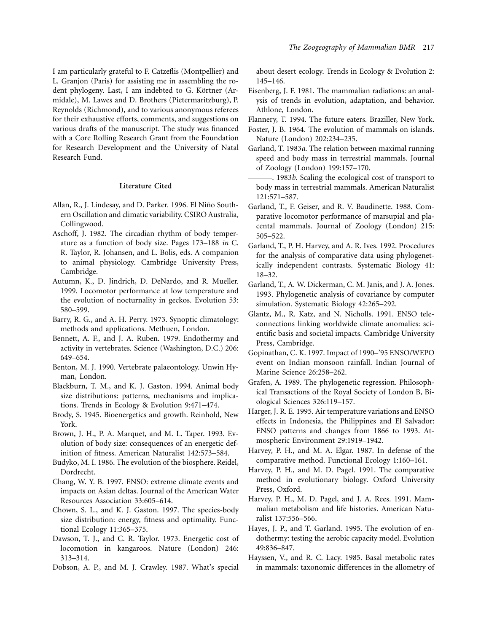I am particularly grateful to F. Catzeflis (Montpellier) and L. Granjon (Paris) for assisting me in assembling the rodent phylogeny. Last, I am indebted to G. Körtner (Armidale), M. Lawes and D. Brothers (Pietermaritzburg), P. Reynolds (Richmond), and to various anonymous referees for their exhaustive efforts, comments, and suggestions on various drafts of the manuscript. The study was financed with a Core Rolling Research Grant from the Foundation for Research Development and the University of Natal Research Fund.

# **Literature Cited**

- Allan, R., J. Lindesay, and D. Parker. 1996. El Niño Southern Oscillation and climatic variability. CSIRO Australia, Collingwood.
- Aschoff, J. 1982. The circadian rhythm of body temperature as a function of body size. Pages 173–188 *in* C. R. Taylor, R. Johansen, and L. Bolis, eds. A companion to animal physiology. Cambridge University Press, Cambridge.
- Autumn, K., D. Jindrich, D. DeNardo, and R. Mueller. 1999. Locomotor performance at low temperature and the evolution of nocturnality in geckos. Evolution 53: 580–599.
- Barry, R. G., and A. H. Perry. 1973. Synoptic climatology: methods and applications. Methuen, London.
- Bennett, A. F., and J. A. Ruben. 1979. Endothermy and activity in vertebrates. Science (Washington, D.C.) 206: 649–654.
- Benton, M. J. 1990. Vertebrate palaeontology. Unwin Hyman, London.
- Blackburn, T. M., and K. J. Gaston. 1994. Animal body size distributions: patterns, mechanisms and implications. Trends in Ecology & Evolution 9:471–474.
- Brody, S. 1945. Bioenergetics and growth. Reinhold, New York.
- Brown, J. H., P. A. Marquet, and M. L. Taper. 1993. Evolution of body size: consequences of an energetic definition of fitness. American Naturalist 142:573–584.
- Budyko, M. I. 1986. The evolution of the biosphere. Reidel, Dordrecht.
- Chang, W. Y. B. 1997. ENSO: extreme climate events and impacts on Asian deltas. Journal of the American Water Resources Association 33:605–614.
- Chown, S. L., and K. J. Gaston. 1997. The species-body size distribution: energy, fitness and optimality. Functional Ecology 11:365–375.
- Dawson, T. J., and C. R. Taylor. 1973. Energetic cost of locomotion in kangaroos. Nature (London) 246: 313–314.
- Dobson, A. P., and M. J. Crawley. 1987. What's special

about desert ecology. Trends in Ecology & Evolution 2: 145–146.

- Eisenberg, J. F. 1981. The mammalian radiations: an analysis of trends in evolution, adaptation, and behavior. Athlone, London.
- Flannery, T. 1994. The future eaters. Braziller, New York.
- Foster, J. B. 1964. The evolution of mammals on islands. Nature (London) 202:234–235.
- Garland, T. 1983*a*. The relation between maximal running speed and body mass in terrestrial mammals. Journal of Zoology (London) 199:157–170.
- ———. 1983*b*. Scaling the ecological cost of transport to body mass in terrestrial mammals. American Naturalist 121:571–587.
- Garland, T., F. Geiser, and R. V. Baudinette. 1988. Comparative locomotor performance of marsupial and placental mammals. Journal of Zoology (London) 215: 505–522.
- Garland, T., P. H. Harvey, and A. R. Ives. 1992. Procedures for the analysis of comparative data using phylogenetically independent contrasts. Systematic Biology 41: 18–32.
- Garland, T., A. W. Dickerman, C. M. Janis, and J. A. Jones. 1993. Phylogenetic analysis of covariance by computer simulation. Systematic Biology 42:265–292.
- Glantz, M., R. Katz, and N. Nicholls. 1991. ENSO teleconnections linking worldwide climate anomalies: scientific basis and societal impacts. Cambridge University Press, Cambridge.
- Gopinathan, C. K. 1997. Impact of 1990–'95 ENSO/WEPO event on Indian monsoon rainfall. Indian Journal of Marine Science 26:258–262.
- Grafen, A. 1989. The phylogenetic regression. Philosophical Transactions of the Royal Society of London B, Biological Sciences 326:119–157.
- Harger, J. R. E. 1995. Air temperature variations and ENSO effects in Indonesia, the Philippines and El Salvador: ENSO patterns and changes from 1866 to 1993. Atmospheric Environment 29:1919–1942.
- Harvey, P. H., and M. A. Elgar. 1987. In defense of the comparative method. Functional Ecology 1:160–161.
- Harvey, P. H., and M. D. Pagel. 1991. The comparative method in evolutionary biology. Oxford University Press, Oxford.
- Harvey, P. H., M. D. Pagel, and J. A. Rees. 1991. Mammalian metabolism and life histories. American Naturalist 137:556–566.
- Hayes, J. P., and T. Garland. 1995. The evolution of endothermy: testing the aerobic capacity model. Evolution 49:836–847.
- Hayssen, V., and R. C. Lacy. 1985. Basal metabolic rates in mammals: taxonomic differences in the allometry of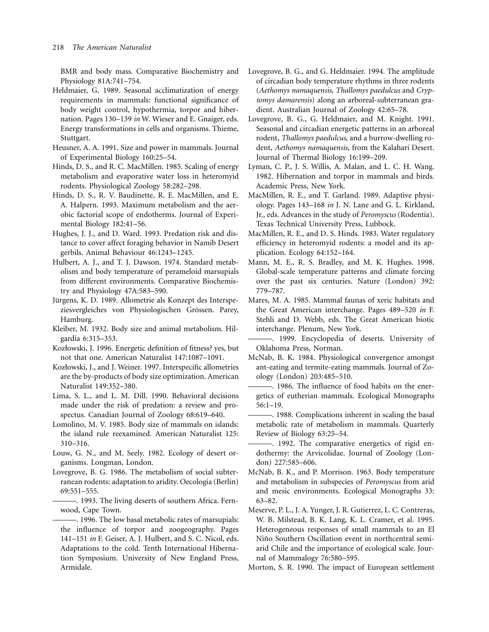BMR and body mass. Comparative Biochemistry and Physiology 81A:741–754.

- Heldmaier, G. 1989. Seasonal acclimatization of energy requirements in mammals: functional significance of body weight control, hypothermia, torpor and hibernation. Pages 130–139 *in* W. Wieser and E. Gnaiger, eds. Energy transformations in cells and organisms. Thieme, Stuttgart.
- Heusner, A. A. 1991. Size and power in mammals. Journal of Experimental Biology 160:25–54.
- Hinds, D. S., and R. C. MacMillen. 1985. Scaling of energy metabolism and evaporative water loss in heteromyid rodents. Physiological Zoology 58:282–298.
- Hinds, D. S., R. V. Baudinette, R. E. MacMillen, and E. A. Halpern. 1993. Maximum metabolism and the aerobic factorial scope of endotherms. Journal of Experimental Biology 182:41–56.
- Hughes, J. J., and D. Ward. 1993. Predation risk and distance to cover affect foraging behavior in Namib Desert gerbils. Animal Behaviour 46:1243–1245.
- Hulbert, A. J., and T. J. Dawson. 1974. Standard metabolism and body temperature of perameloid marsupials from different environments. Comparative Biochemistry and Physiology 47A:583–590.
- Jürgens, K. D. 1989. Allometrie als Konzept des Interspeziesvergleiches von Physiologischen Grössen. Parey, Hamburg.
- Kleiber, M. 1932. Body size and animal metabolism. Hilgardia 6:315–353.
- Kozłowski, J. 1996. Energetic definition of fitness? yes, but not that one. American Naturalist 147:1087–1091.
- Kozłowski, J., and J. Weiner. 1997. Interspecific allometries are the by-products of body size optimization. American Naturalist 149:352–380.
- Lima, S. L., and L. M. Dill. 1990. Behavioral decisions made under the risk of predation: a review and prospectus. Canadian Journal of Zoology 68:619–640.
- Lomolino, M. V. 1985. Body size of mammals on islands: the island rule reexamined. American Naturalist 125: 310–316.
- Louw, G. N., and M. Seely. 1982. Ecology of desert organisms. Longman, London.
- Lovegrove, B. G. 1986. The metabolism of social subterranean rodents: adaptation to aridity. Oecologia (Berlin) 69:551–555.
- -. 1993. The living deserts of southern Africa. Fernwood, Cape Town.
- -. 1996. The low basal metabolic rates of marsupials: the influence of torpor and zoogeography. Pages 141–151 *in* F. Geiser, A. J. Hulbert, and S. C. Nicol, eds. Adaptations to the cold. Tenth International Hibernation Symposium. University of New England Press, Armidale.
- Lovegrove, B. G., and G. Heldmaier. 1994. The amplitude of circadian body temperature rhythms in three rodents (*Aethomys namaquensis*, *Thallomys paedulcus* and *Cryptomys damarensis*) along an arboreal-subterranean gradient. Australian Journal of Zoology 42:65–78.
- Lovegrove, B. G., G. Heldmaier, and M. Knight. 1991. Seasonal and circadian energetic patterns in an arboreal rodent, *Thallomys paedulcus*, and a burrow-dwelling rodent, *Aethomys namaquensis*, from the Kalahari Desert. Journal of Thermal Biology 16:199–209.
- Lyman, C. P., J. S. Willis, A. Malan, and L. C. H. Wang. 1982. Hibernation and torpor in mammals and birds. Academic Press, New York.
- MacMillen, R. E., and T. Garland. 1989. Adaptive physiology. Pages 143–168 *in* J. N. Lane and G. L. Kirkland, Jr., eds. Advances in the study of *Peromyscus* (Rodentia). Texas Technical University Press, Lubbock.
- MacMillen, R. E., and D. S. Hinds. 1983. Water regulatory efficiency in heteromyid rodents: a model and its application. Ecology 64:152–164.
- Mann, M. E., R. S. Bradley, and M. K. Hughes. 1998. Global-scale temperature patterns and climate forcing over the past six centuries. Nature (London) 392: 779–787.
- Mares, M. A. 1985. Mammal faunas of xeric habitats and the Great American interchange. Pages 489–520 *in* F. Stehli and D. Webb, eds. The Great American biotic interchange. Plenum, New York.
- ———. 1999. Encyclopedia of deserts. University of Oklahoma Press, Norman.
- McNab, B. K. 1984. Physiological convergence amongst ant-eating and termite-eating mammals. Journal of Zoology (London) 203:485–510.
- -. 1986. The influence of food habits on the energetics of eutherian mammals. Ecological Monographs 56:1–19.
- ———. 1988. Complications inherent in scaling the basal metabolic rate of metabolism in mammals. Quarterly Review of Biology 63:25–54.
- -. 1992. The comparative energetics of rigid endothermy: the Arvicolidae. Journal of Zoology (London) 227:585–606.
- McNab, B. K., and P. Morrison. 1963. Body temperature and metabolism in subspecies of *Peromyscus* from arid and mesic environments. Ecological Monographs 33: 63–82.
- Meserve, P. L., J. A. Yunger, J. R. Gutierrez, L. C. Contreras, W. B. Milstead, B. K. Lang, K. L. Cramer, et al. 1995. Heterogeneous responses of small mammals to an El Niño Southern Oscillation event in northcentral semiarid Chile and the importance of ecological scale. Journal of Mammalogy 76:580–595.
- Morton, S. R. 1990. The impact of European settlement